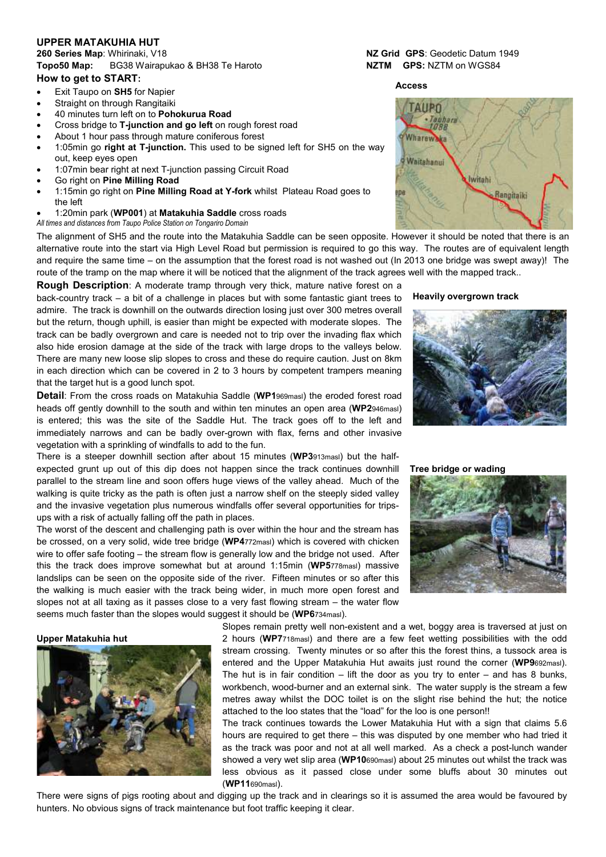# **UPPER MATAKUHIA HUT**

**260 Series Map**: Whirinaki, V18 **NZ Grid GPS**: Geodetic Datum 1949 **Topo50 Map:** BG38 Wairapukao & BH38 Te Haroto **NZTM GPS:** NZTM on WGS84 **How to get to START:**

- 
- Exit Taupo on **SH5** for Napier
- Straight on through Rangitaiki
- 40 minutes turn left on to **Pohokurua Road**
- Cross bridge to **T-junction and go left** on rough forest road
- About 1 hour pass through mature coniferous forest • 1:05min go **right at T-junction.** This used to be signed left for SH5 on the way out, keep eyes open
- 1:07min bear right at next T-junction passing Circuit Road
- Go right on **Pine Milling Road**
- 1:15min go right on **Pine Milling Road at Y-fork** whilst Plateau Road goes to the left
- 1:20min park (**WP001**) at **Matakuhia Saddle** cross roads
- *All times and distances from Taupo Police Station on Tongariro Domain*

The alignment of SH5 and the route into the Matakuhia Saddle can be seen opposite. However it should be noted that there is an alternative route into the start via High Level Road but permission is required to go this way. The routes are of equivalent length and require the same time – on the assumption that the forest road is not washed out (In 2013 one bridge was swept away)! The route of the tramp on the map where it will be noticed that the alignment of the track agrees well with the mapped track..

**Rough Description**: A moderate tramp through very thick, mature native forest on a back-country track – a bit of a challenge in places but with some fantastic giant trees to admire. The track is downhill on the outwards direction losing just over 300 metres overall but the return, though uphill, is easier than might be expected with moderate slopes. The track can be badly overgrown and care is needed not to trip over the invading flax which also hide erosion damage at the side of the track with large drops to the valleys below. There are many new loose slip slopes to cross and these do require caution. Just on 8km in each direction which can be covered in 2 to 3 hours by competent trampers meaning that the target hut is a good lunch spot.

**Detail**: From the cross roads on Matakuhia Saddle (**WP1**969masl) the eroded forest road heads off gently downhill to the south and within ten minutes an open area (**WP2**946masl) is entered; this was the site of the Saddle Hut. The track goes off to the left and immediately narrows and can be badly over-grown with flax, ferns and other invasive vegetation with a sprinkling of windfalls to add to the fun.

There is a steeper downhill section after about 15 minutes (**WP3**913masl) but the halfexpected grunt up out of this dip does not happen since the track continues downhill parallel to the stream line and soon offers huge views of the valley ahead. Much of the walking is quite tricky as the path is often just a narrow shelf on the steeply sided valley and the invasive vegetation plus numerous windfalls offer several opportunities for tripsups with a risk of actually falling off the path in places.

The worst of the descent and challenging path is over within the hour and the stream has be crossed, on a very solid, wide tree bridge (**WP4**772masl) which is covered with chicken wire to offer safe footing – the stream flow is generally low and the bridge not used. After this the track does improve somewhat but at around 1:15min (**WP5**778masl) massive landslips can be seen on the opposite side of the river. Fifteen minutes or so after this the walking is much easier with the track being wider, in much more open forest and slopes not at all taxing as it passes close to a very fast flowing stream – the water flow seems much faster than the slopes would suggest it should be (**WP6**734masl).

### **Upper Matakuhia hut**



Slopes remain pretty well non-existent and a wet, boggy area is traversed at just on 2 hours (**WP7**718masl) and there are a few feet wetting possibilities with the odd stream crossing. Twenty minutes or so after this the forest thins, a tussock area is entered and the Upper Matakuhia Hut awaits just round the corner (**WP9**692masl). The hut is in fair condition  $-$  lift the door as you try to enter  $-$  and has 8 bunks, workbench, wood-burner and an external sink. The water supply is the stream a few metres away whilst the DOC toilet is on the slight rise behind the hut; the notice attached to the loo states that the "load" for the loo is one person!!

The track continues towards the Lower Matakuhia Hut with a sign that claims 5.6 hours are required to get there – this was disputed by one member who had tried it as the track was poor and not at all well marked. As a check a post-lunch wander showed a very wet slip area (**WP10**690masl) about 25 minutes out whilst the track was less obvious as it passed close under some bluffs about 30 minutes out (**WP11**690masl).

There were signs of pigs rooting about and digging up the track and in clearings so it is assumed the area would be favoured by hunters. No obvious signs of track maintenance but foot traffic keeping it clear.

## **Access**





### **Tree bridge or wading**